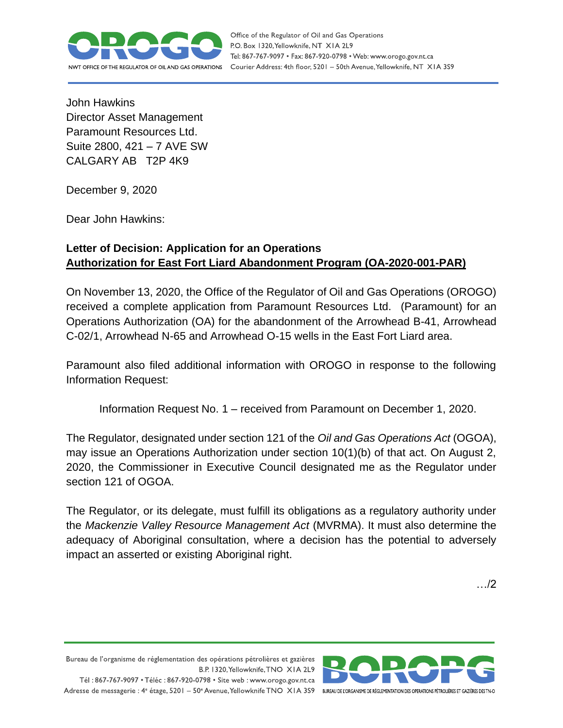

Office of the Regulator of Oil and Gas Operations P.O. Box 1320, Yellowknife, NT XIA 2L9 Tel: 867-767-9097 • Fax: 867-920-0798 • Web: www.orogo.gov.nt.ca Courier Address: 4th floor, 5201 - 50th Avenue, Yellowknife, NT XIA 3S9

John Hawkins Director Asset Management Paramount Resources Ltd. Suite 2800, 421 – 7 AVE SW CALGARY AB T2P 4K9

December 9, 2020

Dear John Hawkins:

## **Letter of Decision: Application for an Operations Authorization for East Fort Liard Abandonment Program (OA-2020-001-PAR)**

On November 13, 2020, the Office of the Regulator of Oil and Gas Operations (OROGO) received a complete application from Paramount Resources Ltd. (Paramount) for an Operations Authorization (OA) for the abandonment of the Arrowhead B-41, Arrowhead C-02/1, Arrowhead N-65 and Arrowhead O-15 wells in the East Fort Liard area.

Paramount also filed additional information with OROGO in response to the following Information Request:

Information Request No. 1 – received from Paramount on December 1, 2020.

The Regulator, designated under section 121 of the *Oil and Gas Operations Act* (OGOA), may issue an Operations Authorization under section 10(1)(b) of that act. On August 2, 2020, the Commissioner in Executive Council designated me as the Regulator under section 121 of OGOA.

The Regulator, or its delegate, must fulfill its obligations as a regulatory authority under the *Mackenzie Valley Resource Management Act* (MVRMA). It must also determine the adequacy of Aboriginal consultation, where a decision has the potential to adversely impact an asserted or existing Aboriginal right.

…/2

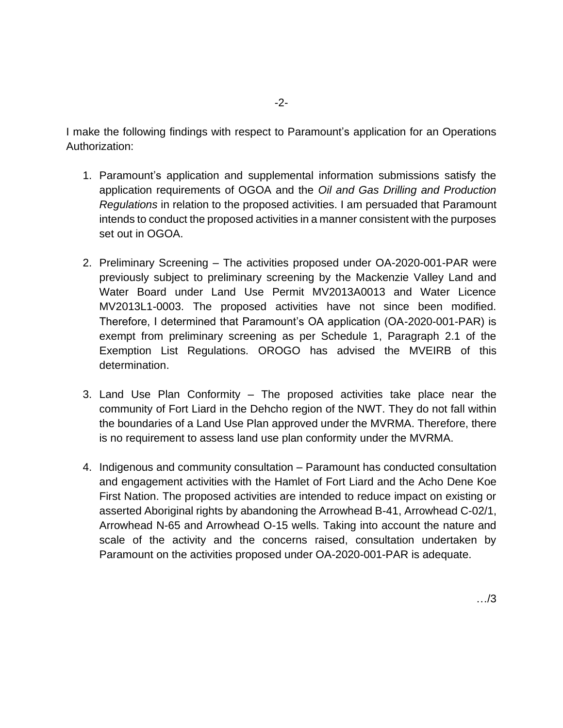I make the following findings with respect to Paramount's application for an Operations Authorization:

- 1. Paramount's application and supplemental information submissions satisfy the application requirements of OGOA and the *Oil and Gas Drilling and Production Regulations* in relation to the proposed activities. I am persuaded that Paramount intends to conduct the proposed activities in a manner consistent with the purposes set out in OGOA.
- 2. Preliminary Screening The activities proposed under OA-2020-001-PAR were previously subject to preliminary screening by the Mackenzie Valley Land and Water Board under Land Use Permit MV2013A0013 and Water Licence MV2013L1-0003. The proposed activities have not since been modified. Therefore, I determined that Paramount's OA application (OA-2020-001-PAR) is exempt from preliminary screening as per Schedule 1, Paragraph 2.1 of the Exemption List Regulations. OROGO has advised the MVEIRB of this determination.
- 3. Land Use Plan Conformity The proposed activities take place near the community of Fort Liard in the Dehcho region of the NWT. They do not fall within the boundaries of a Land Use Plan approved under the MVRMA. Therefore, there is no requirement to assess land use plan conformity under the MVRMA.
- 4. Indigenous and community consultation Paramount has conducted consultation and engagement activities with the Hamlet of Fort Liard and the Acho Dene Koe First Nation. The proposed activities are intended to reduce impact on existing or asserted Aboriginal rights by abandoning the Arrowhead B-41, Arrowhead C-02/1, Arrowhead N-65 and Arrowhead O-15 wells. Taking into account the nature and scale of the activity and the concerns raised, consultation undertaken by Paramount on the activities proposed under OA-2020-001-PAR is adequate.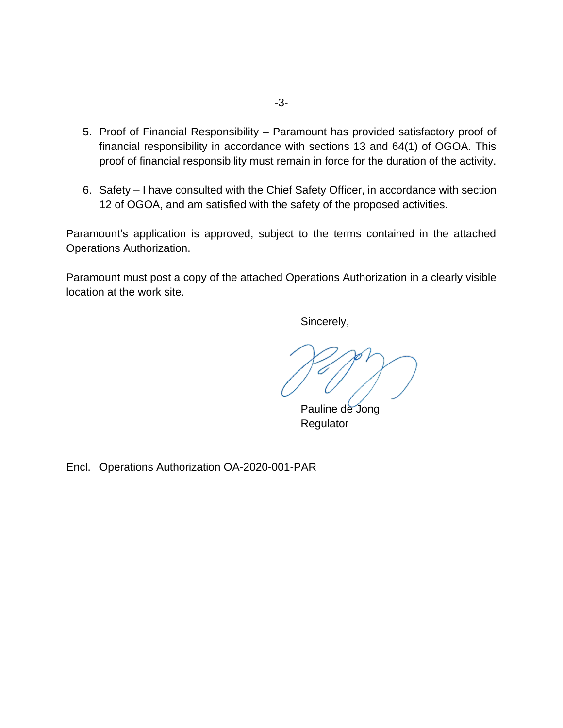- 5. Proof of Financial Responsibility Paramount has provided satisfactory proof of financial responsibility in accordance with sections 13 and 64(1) of OGOA. This proof of financial responsibility must remain in force for the duration of the activity.
- 6. Safety I have consulted with the Chief Safety Officer, in accordance with section 12 of OGOA, and am satisfied with the safety of the proposed activities.

Paramount's application is approved, subject to the terms contained in the attached Operations Authorization.

Paramount must post a copy of the attached Operations Authorization in a clearly visible location at the work site.

Sincerely,

Pauline de Jong Regulator

Encl. Operations Authorization OA-2020-001-PAR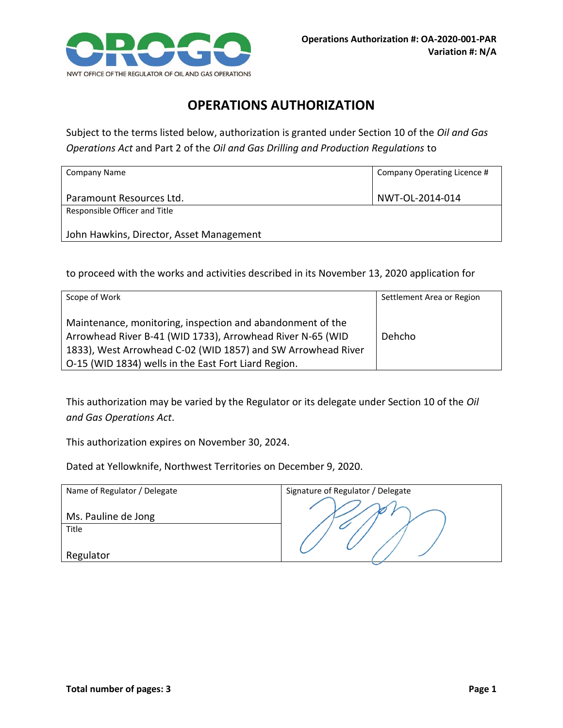

## **OPERATIONS AUTHORIZATION**

Subject to the terms listed below, authorization is granted under Section 10 of the *Oil and Gas Operations Act* and Part 2 of the *Oil and Gas Drilling and Production Regulations* to

| Company Name                             | Company Operating Licence # |
|------------------------------------------|-----------------------------|
| Paramount Resources Ltd.                 | NWT-OL-2014-014             |
| Responsible Officer and Title            |                             |
| John Hawkins, Director, Asset Management |                             |

to proceed with the works and activities described in its November 13, 2020 application for

| Scope of Work                                                                                                                                                                                                                                    | Settlement Area or Region |
|--------------------------------------------------------------------------------------------------------------------------------------------------------------------------------------------------------------------------------------------------|---------------------------|
| Maintenance, monitoring, inspection and abandonment of the<br>Arrowhead River B-41 (WID 1733), Arrowhead River N-65 (WID<br>1833), West Arrowhead C-02 (WID 1857) and SW Arrowhead River<br>O-15 (WID 1834) wells in the East Fort Liard Region. | Dehcho                    |

This authorization may be varied by the Regulator or its delegate under Section 10 of the *Oil and Gas Operations Act*.

This authorization expires on November 30, 2024.

Dated at Yellowknife, Northwest Territories on December 9, 2020.

| Name of Regulator / Delegate | Signature of Regulator / Delegate |
|------------------------------|-----------------------------------|
|                              |                                   |
| Ms. Pauline de Jong          |                                   |
| Title                        |                                   |
|                              |                                   |
| Regulator                    |                                   |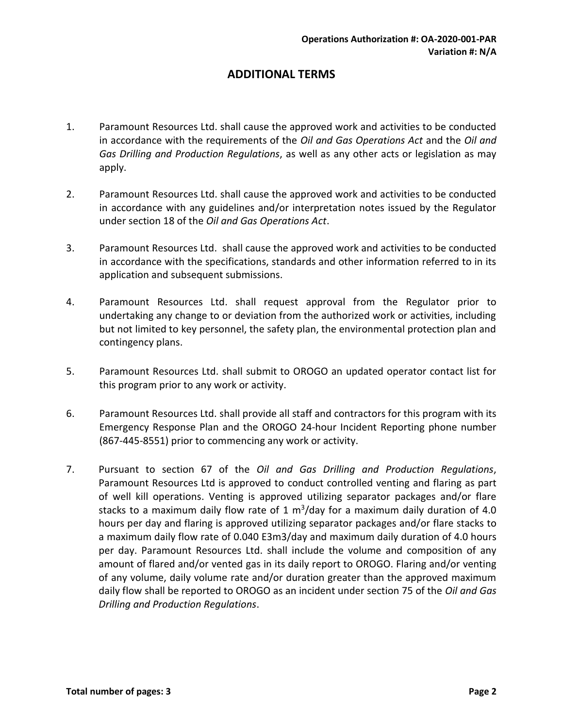## **ADDITIONAL TERMS**

- 1. Paramount Resources Ltd. shall cause the approved work and activities to be conducted in accordance with the requirements of the *Oil and Gas Operations Act* and the *Oil and Gas Drilling and Production Regulations*, as well as any other acts or legislation as may apply.
- 2. Paramount Resources Ltd. shall cause the approved work and activities to be conducted in accordance with any guidelines and/or interpretation notes issued by the Regulator under section 18 of the *Oil and Gas Operations Act*.
- 3. Paramount Resources Ltd. shall cause the approved work and activities to be conducted in accordance with the specifications, standards and other information referred to in its application and subsequent submissions.
- 4. Paramount Resources Ltd. shall request approval from the Regulator prior to undertaking any change to or deviation from the authorized work or activities, including but not limited to key personnel, the safety plan, the environmental protection plan and contingency plans.
- 5. Paramount Resources Ltd. shall submit to OROGO an updated operator contact list for this program prior to any work or activity.
- 6. Paramount Resources Ltd. shall provide all staff and contractors for this program with its Emergency Response Plan and the OROGO 24-hour Incident Reporting phone number (867-445-8551) prior to commencing any work or activity.
- 7. Pursuant to section 67 of the *Oil and Gas Drilling and Production Regulations*, Paramount Resources Ltd is approved to conduct controlled venting and flaring as part of well kill operations. Venting is approved utilizing separator packages and/or flare stacks to a maximum daily flow rate of 1  $m^3$ /day for a maximum daily duration of 4.0 hours per day and flaring is approved utilizing separator packages and/or flare stacks to a maximum daily flow rate of 0.040 E3m3/day and maximum daily duration of 4.0 hours per day. Paramount Resources Ltd. shall include the volume and composition of any amount of flared and/or vented gas in its daily report to OROGO. Flaring and/or venting of any volume, daily volume rate and/or duration greater than the approved maximum daily flow shall be reported to OROGO as an incident under section 75 of the *Oil and Gas Drilling and Production Regulations*.